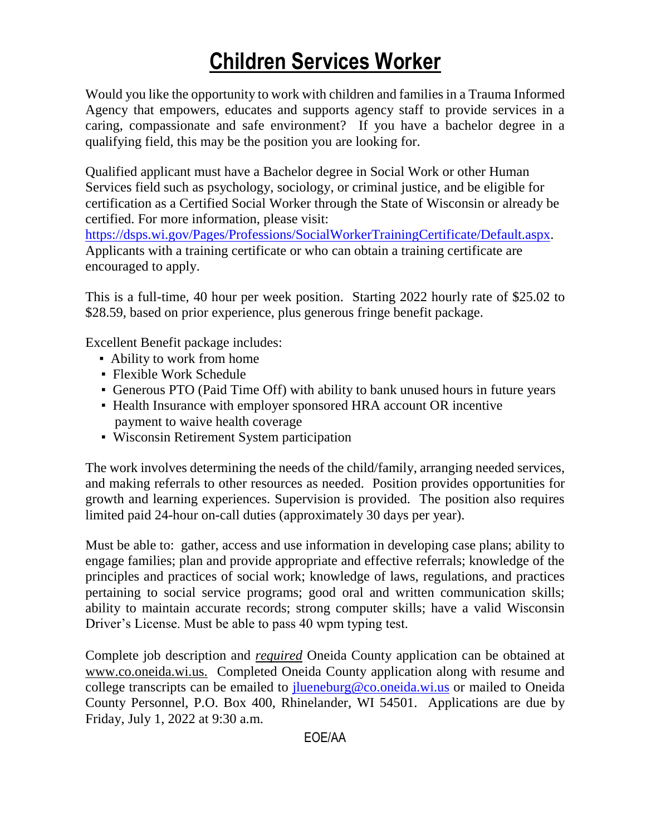# **Children Services Worker**

Would you like the opportunity to work with children and families in a Trauma Informed Agency that empowers, educates and supports agency staff to provide services in a caring, compassionate and safe environment? If you have a bachelor degree in a qualifying field, this may be the position you are looking for.

Qualified applicant must have a Bachelor degree in Social Work or other Human Services field such as psychology, sociology, or criminal justice, and be eligible for certification as a Certified Social Worker through the State of Wisconsin or already be certified. For more information, please visit:

[https://dsps.wi.gov/Pages/Professions/SocialWorkerTrainingCertificate/Default.aspx.](https://dsps.wi.gov/Pages/Professions/SocialWorkerTrainingCertificate/Default.aspx) Applicants with a training certificate or who can obtain a training certificate are encouraged to apply.

This is a full-time, 40 hour per week position. Starting 2022 hourly rate of \$25.02 to \$28.59, based on prior experience, plus generous fringe benefit package.

Excellent Benefit package includes:

- Ability to work from home
- Flexible Work Schedule
- Generous PTO (Paid Time Off) with ability to bank unused hours in future years
- Health Insurance with employer sponsored HRA account OR incentive payment to waive health coverage
- Wisconsin Retirement System participation

The work involves determining the needs of the child/family, arranging needed services, and making referrals to other resources as needed. Position provides opportunities for growth and learning experiences. Supervision is provided. The position also requires limited paid 24-hour on-call duties (approximately 30 days per year).

Must be able to: gather, access and use information in developing case plans; ability to engage families; plan and provide appropriate and effective referrals; knowledge of the principles and practices of social work; knowledge of laws, regulations, and practices pertaining to social service programs; good oral and written communication skills; ability to maintain accurate records; strong computer skills; have a valid Wisconsin Driver's License. Must be able to pass 40 wpm typing test.

Complete job description and *required* Oneida County application can be obtained at [www.co.oneida.wi.us.](http://www.co.oneida.wi.us/) Completed Oneida County application along with resume and college transcripts can be emailed to *jlueneburg@co.oneida.wi.us* or mailed to Oneida County Personnel, P.O. Box 400, Rhinelander, WI 54501. Applications are due by Friday, July 1, 2022 at 9:30 a.m.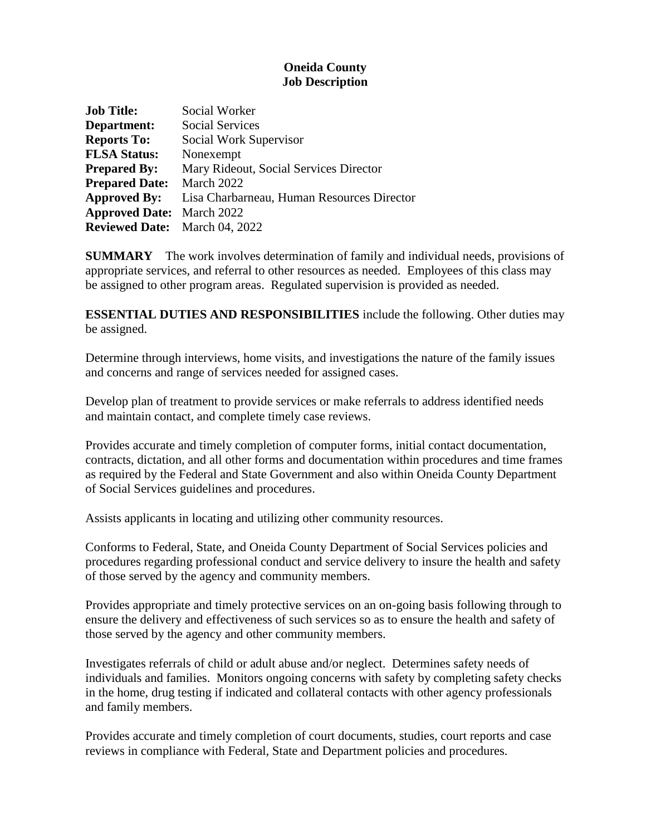## **Oneida County Job Description**

| <b>Job Title:</b>                    | Social Worker                              |
|--------------------------------------|--------------------------------------------|
| Department:                          | <b>Social Services</b>                     |
| <b>Reports To:</b>                   | Social Work Supervisor                     |
| <b>FLSA Status:</b>                  | Nonexempt                                  |
| <b>Prepared By:</b>                  | Mary Rideout, Social Services Director     |
| <b>Prepared Date:</b>                | March 2022                                 |
| <b>Approved By:</b>                  | Lisa Charbarneau, Human Resources Director |
| <b>Approved Date:</b> March 2022     |                                            |
| <b>Reviewed Date:</b> March 04, 2022 |                                            |

**SUMMARY** The work involves determination of family and individual needs, provisions of appropriate services, and referral to other resources as needed. Employees of this class may be assigned to other program areas. Regulated supervision is provided as needed.

**ESSENTIAL DUTIES AND RESPONSIBILITIES** include the following. Other duties may be assigned.

Determine through interviews, home visits, and investigations the nature of the family issues and concerns and range of services needed for assigned cases.

Develop plan of treatment to provide services or make referrals to address identified needs and maintain contact, and complete timely case reviews.

Provides accurate and timely completion of computer forms, initial contact documentation, contracts, dictation, and all other forms and documentation within procedures and time frames as required by the Federal and State Government and also within Oneida County Department of Social Services guidelines and procedures.

Assists applicants in locating and utilizing other community resources.

Conforms to Federal, State, and Oneida County Department of Social Services policies and procedures regarding professional conduct and service delivery to insure the health and safety of those served by the agency and community members.

Provides appropriate and timely protective services on an on-going basis following through to ensure the delivery and effectiveness of such services so as to ensure the health and safety of those served by the agency and other community members.

Investigates referrals of child or adult abuse and/or neglect. Determines safety needs of individuals and families. Monitors ongoing concerns with safety by completing safety checks in the home, drug testing if indicated and collateral contacts with other agency professionals and family members.

Provides accurate and timely completion of court documents, studies, court reports and case reviews in compliance with Federal, State and Department policies and procedures.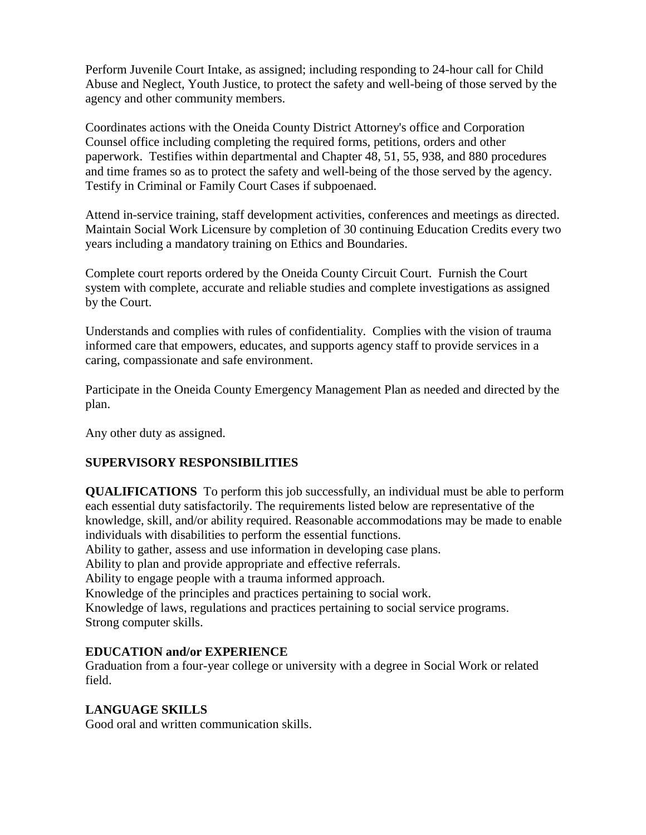Perform Juvenile Court Intake, as assigned; including responding to 24-hour call for Child Abuse and Neglect, Youth Justice, to protect the safety and well-being of those served by the agency and other community members.

Coordinates actions with the Oneida County District Attorney's office and Corporation Counsel office including completing the required forms, petitions, orders and other paperwork. Testifies within departmental and Chapter 48, 51, 55, 938, and 880 procedures and time frames so as to protect the safety and well-being of the those served by the agency. Testify in Criminal or Family Court Cases if subpoenaed.

Attend in-service training, staff development activities, conferences and meetings as directed. Maintain Social Work Licensure by completion of 30 continuing Education Credits every two years including a mandatory training on Ethics and Boundaries.

Complete court reports ordered by the Oneida County Circuit Court. Furnish the Court system with complete, accurate and reliable studies and complete investigations as assigned by the Court.

Understands and complies with rules of confidentiality. Complies with the vision of trauma informed care that empowers, educates, and supports agency staff to provide services in a caring, compassionate and safe environment.

Participate in the Oneida County Emergency Management Plan as needed and directed by the plan.

Any other duty as assigned.

### **SUPERVISORY RESPONSIBILITIES**

**QUALIFICATIONS** To perform this job successfully, an individual must be able to perform each essential duty satisfactorily. The requirements listed below are representative of the knowledge, skill, and/or ability required. Reasonable accommodations may be made to enable individuals with disabilities to perform the essential functions.

Ability to gather, assess and use information in developing case plans.

Ability to plan and provide appropriate and effective referrals.

Ability to engage people with a trauma informed approach.

Knowledge of the principles and practices pertaining to social work.

Knowledge of laws, regulations and practices pertaining to social service programs. Strong computer skills.

### **EDUCATION and/or EXPERIENCE**

Graduation from a four-year college or university with a degree in Social Work or related field.

### **LANGUAGE SKILLS**

Good oral and written communication skills.